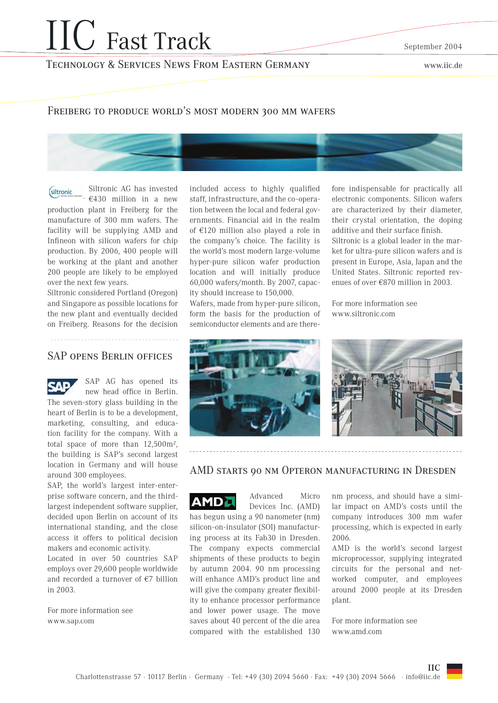# **IIC** Fast Track

September 2004

## **TECHNOLOGY & SERVICES NEWS FROM EASTERN GERMANY**

www.iic.de

#### FREIBERG TO PRODUCE WORLD'S MOST MODERN 300 MM WAFERS



Siltronic AG has invested (siltronic  $\div$  €430 million in a new production plant in Freiberg for the manufacture of 300 mm wafers. The facility will be supplying AMD and Infineon with silicon wafers for chip production. By 2006, 400 people will be working at the plant and another 200 people are likely to be employed over the next few years.

Siltronic considered Portland (Oregon) and Singapore as possible locations for the new plant and eventually decided on Freiberg. Reasons for the decision

#### **SAP OPENS BERLIN OFFICES**

SAP AG has opened its new head office in Berlin. The seven-story glass building in the heart of Berlin is to be a development, marketing, consulting, and education facility for the company. With a total space of more than  $12,500$ m<sup>2</sup>, the building is SAP's second largest location in Germany and will house around 300 employees.

SAP, the world's largest inter-enterprise software concern, and the thirdlargest independent software supplier, decided upon Berlin on account of its international standing, and the close access it offers to political decision makers and economic activity.

Located in over 50 countries SAP employs over 29,600 people worldwide and recorded a turnover of  $E$  billion in  $2003$ 

For more information see www.sap.com

included access to highly qualified staff, infrastructure, and the co-operation between the local and federal governments. Financial aid in the realm of  $\epsilon$ 120 million also played a role in the company's choice. The facility is the world's most modern large-volume hyper-pure silicon wafer production location and will initially produce 60,000 wafers/month. By 2007, capacity should increase to 150,000.

Wafers, made from hyper-pure silicon, form the basis for the production of semiconductor elements and are therefore indispensable for practically all electronic components. Silicon wafers are characterized by their diameter, their crystal orientation, the doping additive and their surface finish. Siltronic is a global leader in the market for ultra-pure silicon wafers and is present in Europe, Asia, Japan and the United States. Siltronic reported revenues of over  $\epsilon$ 870 million in 2003.

For more information see www.siltronic.com



#### AMD STARTS 00 NM OPTERON MANUFACTURING IN DRESDEN

Advanced Micro AMDJ Devices Inc. (AMD) has begun using a 90 nanometer (nm) silicon-on-insulator (SOI) manufacturing process at its Fab30 in Dresden. The company expects commercial shipments of these products to begin by autumn 2004. 90 nm processing will enhance AMD's product line and will give the company greater flexibility to enhance processor performance and lower power usage. The move saves about 40 percent of the die area compared with the established 130

nm process, and should have a similar impact on AMD's costs until the company introduces 300 mm wafer processing, which is expected in early 2006.

AMD is the world's second largest microprocessor, supplying integrated circuits for the personal and networked computer, and employees around 2000 people at its Dresden plant.

For more information see www.amd.com